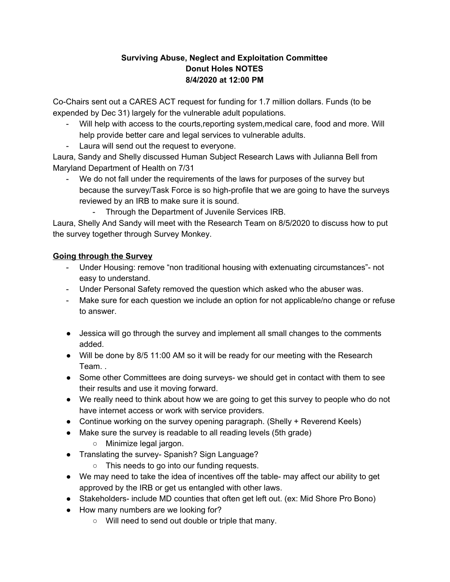## **Surviving Abuse, Neglect and Exploitation Committee Donut Holes NOTES 8/4/2020 at 12:00 PM**

Co-Chairs sent out a CARES ACT request for funding for 1.7 million dollars. Funds (to be expended by Dec 31) largely for the vulnerable adult populations.

- Will help with access to the courts,reporting system,medical care, food and more. Will help provide better care and legal services to vulnerable adults.
- Laura will send out the request to everyone.

Laura, Sandy and Shelly discussed Human Subject Research Laws with Julianna Bell from Maryland Department of Health on 7/31

- We do not fall under the requirements of the laws for purposes of the survey but because the survey/Task Force is so high-profile that we are going to have the surveys reviewed by an IRB to make sure it is sound.
	- Through the Department of Juvenile Services IRB.

Laura, Shelly And Sandy will meet with the Research Team on 8/5/2020 to discuss how to put the survey together through Survey Monkey.

## **Going through the Survey**

- Under Housing: remove "non traditional housing with extenuating circumstances"- not easy to understand.
- Under Personal Safety removed the question which asked who the abuser was.
- Make sure for each question we include an option for not applicable/no change or refuse to answer.
- Jessica will go through the survey and implement all small changes to the comments added.
- Will be done by 8/5 11:00 AM so it will be ready for our meeting with the Research Team. .
- Some other Committees are doing surveys- we should get in contact with them to see their results and use it moving forward.
- We really need to think about how we are going to get this survey to people who do not have internet access or work with service providers.
- Continue working on the survey opening paragraph. (Shelly + Reverend Keels)
- Make sure the survey is readable to all reading levels (5th grade)
	- Minimize legal jargon.
- Translating the survey- Spanish? Sign Language?
	- This needs to go into our funding requests.
- We may need to take the idea of incentives off the table- may affect our ability to get approved by the IRB or get us entangled with other laws.
- Stakeholders- include MD counties that often get left out. (ex: Mid Shore Pro Bono)
- How many numbers are we looking for?
	- Will need to send out double or triple that many.